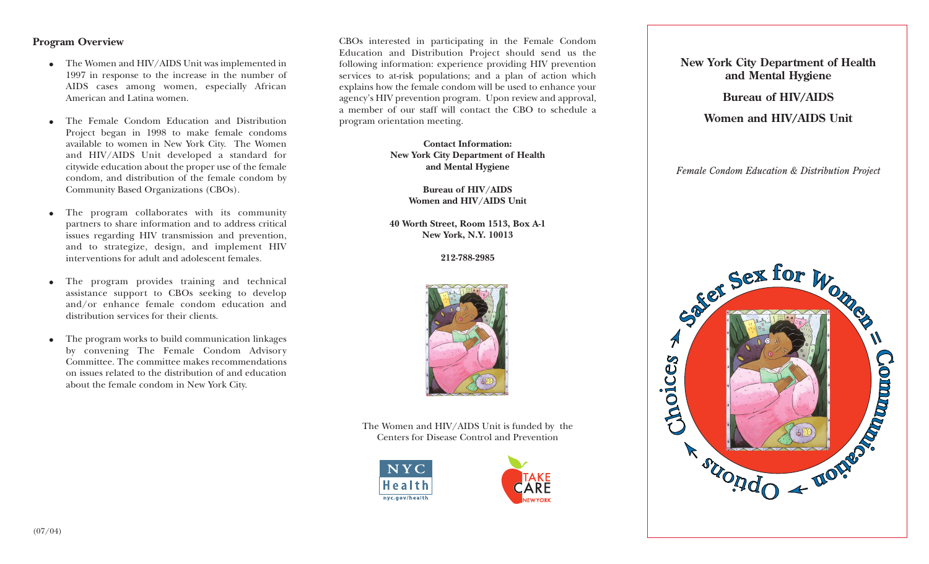# **Program Overview**

- The Women and HIV/AIDS Unit was implemented in 1997 in response to the increase in the number of AIDS cases among women, especially African American and Latina women.
- ● The Female Condom Education and Distribution Project began in 1998 to make female condoms available to women in New York City. The Women and HIV/AIDS Unit developed a standard for citywide education about the proper use of the female condom, and distribution of the female condom by Community Based Organizations (CBOs).
- ● The program collaborates with its community partners to share information and to address critical issues regarding HIV transmission and prevention, and to strategize, design, and implement HIV interventions for adult and adolescent females*.*
- ● The program provides training and technical assistance support to CBOs seeking to develop and/or enhance female condom education and distribution services for their clients.
- ● The program works to build communication linkages by convening The Female Condom Advisory Committee. The committee makes recommendations on issues related to the distribution of and educationabout the female condom in New York City.

CBOs interested in participating in the Female Condom Education and Distribution Project should send us the following information: experience providing HIV prevention services to at-risk populations; and a plan of action which explains how the female condom will be used to enhance your agency's HIV prevention program. Upon review and approval, a member of our staff will contact the CBO to schedule aprogram orientation meeting.

> **Contact Information:New York City Department of Health and Mental Hygiene**

> > **Bureau of HIV/AIDS Women and HIV/AIDS Unit**

**40 Worth Street, Room 1513, Box A-1 New York, N.Y. 10013**

**212-788-2985**



The Women and HIV/AIDS Unit is funded by the Centers for Disease Control and Prevention





**New York City Department of Health and Mental Hygiene**

**Bureau of HIV/AIDS**

**Women and HIV/AIDS Unit**

*Female Condom Education & Distribution Project*